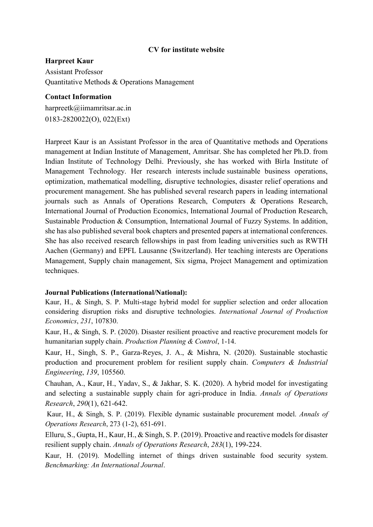## CV for institute website

## Harpreet Kaur

Assistant Professor Quantitative Methods & Operations Management

### Contact Information

harpreetk@iimamritsar.ac.in 0183-2820022(O), 022(Ext)

Harpreet Kaur is an Assistant Professor in the area of Quantitative methods and Operations management at Indian Institute of Management, Amritsar. She has completed her Ph.D. from Indian Institute of Technology Delhi. Previously, she has worked with Birla Institute of Management Technology. Her research interests include sustainable business operations, optimization, mathematical modelling, disruptive technologies, disaster relief operations and procurement management. She has published several research papers in leading international journals such as Annals of Operations Research, Computers & Operations Research, International Journal of Production Economics, International Journal of Production Research, Sustainable Production & Consumption, International Journal of Fuzzy Systems. In addition, she has also published several book chapters and presented papers at international conferences. She has also received research fellowships in past from leading universities such as RWTH Aachen (Germany) and EPFL Lausanne (Switzerland). Her teaching interests are Operations Management, Supply chain management, Six sigma, Project Management and optimization techniques.

# Journal Publications (International/National):

Kaur, H., & Singh, S. P. Multi-stage hybrid model for supplier selection and order allocation considering disruption risks and disruptive technologies. International Journal of Production Economics, 231, 107830.

Kaur, H., & Singh, S. P. (2020). Disaster resilient proactive and reactive procurement models for humanitarian supply chain. Production Planning & Control, 1-14.

Kaur, H., Singh, S. P., Garza-Reyes, J. A., & Mishra, N. (2020). Sustainable stochastic production and procurement problem for resilient supply chain. Computers & Industrial Engineering, 139, 105560.

Chauhan, A., Kaur, H., Yadav, S., & Jakhar, S. K. (2020). A hybrid model for investigating and selecting a sustainable supply chain for agri-produce in India. Annals of Operations Research, 290(1), 621-642.

 Kaur, H., & Singh, S. P. (2019). Flexible dynamic sustainable procurement model. Annals of Operations Research, 273 (1-2), 651-691.

Elluru, S., Gupta, H., Kaur, H., & Singh, S. P. (2019). Proactive and reactive models for disaster resilient supply chain. Annals of Operations Research, 283(1), 199-224.

Kaur, H. (2019). Modelling internet of things driven sustainable food security system. Benchmarking: An International Journal.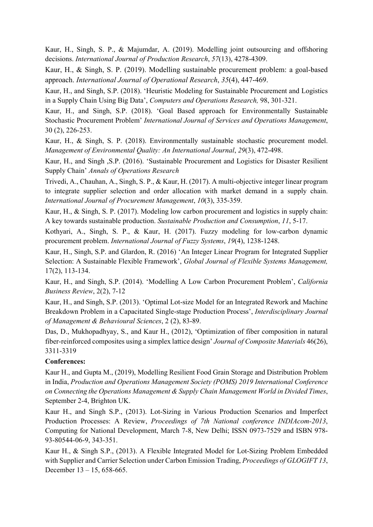Kaur, H., Singh, S. P., & Majumdar, A. (2019). Modelling joint outsourcing and offshoring decisions. International Journal of Production Research, 57(13), 4278-4309.

Kaur, H., & Singh, S. P. (2019). Modelling sustainable procurement problem: a goal-based approach. International Journal of Operational Research, 35(4), 447-469.

Kaur, H., and Singh, S.P. (2018). 'Heuristic Modeling for Sustainable Procurement and Logistics in a Supply Chain Using Big Data', Computers and Operations Research, 98, 301-321.

Kaur, H., and Singh, S.P. (2018). 'Goal Based approach for Environmentally Sustainable Stochastic Procurement Problem' International Journal of Services and Operations Management, 30 (2), 226-253.

Kaur, H., & Singh, S. P. (2018). Environmentally sustainable stochastic procurement model. Management of Environmental Quality: An International Journal, 29(3), 472-498.

Kaur, H., and Singh ,S.P. (2016). 'Sustainable Procurement and Logistics for Disaster Resilient Supply Chain' Annals of Operations Research

Trivedi, A., Chauhan, A., Singh, S. P., & Kaur, H. (2017). A multi-objective integer linear program to integrate supplier selection and order allocation with market demand in a supply chain. International Journal of Procurement Management, 10(3), 335-359.

Kaur, H., & Singh, S. P. (2017). Modeling low carbon procurement and logistics in supply chain: A key towards sustainable production. Sustainable Production and Consumption, 11, 5-17.

Kothyari, A., Singh, S. P., & Kaur, H. (2017). Fuzzy modeling for low-carbon dynamic procurement problem. International Journal of Fuzzy Systems, 19(4), 1238-1248.

Kaur, H., Singh, S.P. and Glardon, R. (2016) 'An Integer Linear Program for Integrated Supplier Selection: A Sustainable Flexible Framework', Global Journal of Flexible Systems Management, 17(2), 113-134.

Kaur, H., and Singh, S.P. (2014). 'Modelling A Low Carbon Procurement Problem', California Business Review, 2(2), 7-12

Kaur, H., and Singh, S.P. (2013). 'Optimal Lot-size Model for an Integrated Rework and Machine Breakdown Problem in a Capacitated Single-stage Production Process', Interdisciplinary Journal of Management & Behavioural Sciences, 2 (2), 83-89.

Das, D., Mukhopadhyay, S., and Kaur H., (2012), 'Optimization of fiber composition in natural fiber-reinforced composites using a simplex lattice design' Journal of Composite Materials 46(26), 3311-3319

# Conferences:

Kaur H., and Gupta M., (2019), Modelling Resilient Food Grain Storage and Distribution Problem in India, Production and Operations Management Society (POMS) 2019 International Conference on Connecting the Operations Management & Supply Chain Management World in Divided Times, September 2-4, Brighton UK.

Kaur H., and Singh S.P., (2013). Lot-Sizing in Various Production Scenarios and Imperfect Production Processes: A Review, Proceedings of 7th National conference INDIAcom-2013, Computing for National Development, March 7-8, New Delhi; ISSN 0973-7529 and ISBN 978- 93-80544-06-9, 343-351.

Kaur H., & Singh S.P., (2013). A Flexible Integrated Model for Lot-Sizing Problem Embedded with Supplier and Carrier Selection under Carbon Emission Trading, *Proceedings of GLOGIFT 13*, December  $13 - 15$ , 658-665.